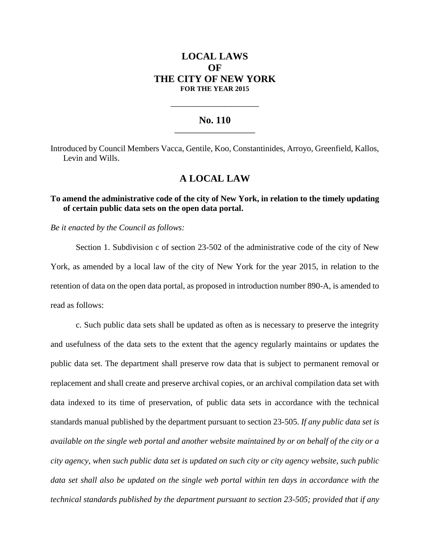# **LOCAL LAWS OF THE CITY OF NEW YORK FOR THE YEAR 2015**

### **No. 110 \_\_\_\_\_\_\_\_\_\_\_\_\_\_\_\_\_\_\_\_\_\_\_**

**\_\_\_\_\_\_\_\_\_\_\_\_\_\_\_\_\_\_\_\_\_\_\_\_\_\_\_\_**

Introduced by Council Members Vacca, Gentile, Koo, Constantinides, Arroyo, Greenfield, Kallos, Levin and Wills.

## **A LOCAL LAW**

## **To amend the administrative code of the city of New York, in relation to the timely updating of certain public data sets on the open data portal.**

*Be it enacted by the Council as follows:*

Section 1. Subdivision c of section 23-502 of the administrative code of the city of New York, as amended by a local law of the city of New York for the year 2015, in relation to the retention of data on the open data portal, as proposed in introduction number 890-A, is amended to read as follows:

c. Such public data sets shall be updated as often as is necessary to preserve the integrity and usefulness of the data sets to the extent that the agency regularly maintains or updates the public data set. The department shall preserve row data that is subject to permanent removal or replacement and shall create and preserve archival copies, or an archival compilation data set with data indexed to its time of preservation, of public data sets in accordance with the technical standards manual published by the department pursuant to section 23-505. *If any public data set is available on the single web portal and another website maintained by or on behalf of the city or a city agency, when such public data set is updated on such city or city agency website, such public data set shall also be updated on the single web portal within ten days in accordance with the technical standards published by the department pursuant to section 23-505; provided that if any*